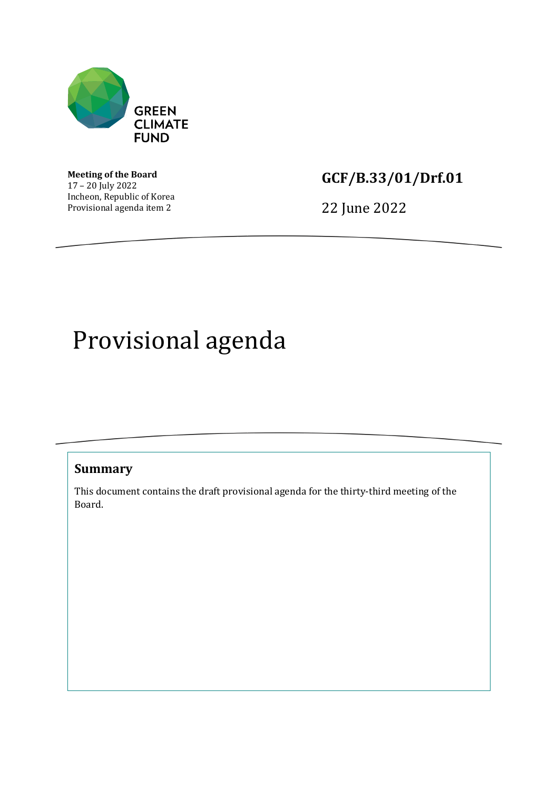

**Meeting of the Board** 17 – 20 July 2022 Incheon, Republic of Korea Provisional agenda item 2

## **GCF/B.33/01/Drf.01**

22 June 2022

## Provisional agenda

## **Summary**

This document contains the draft provisional agenda for the thirty-third meeting of the Board.